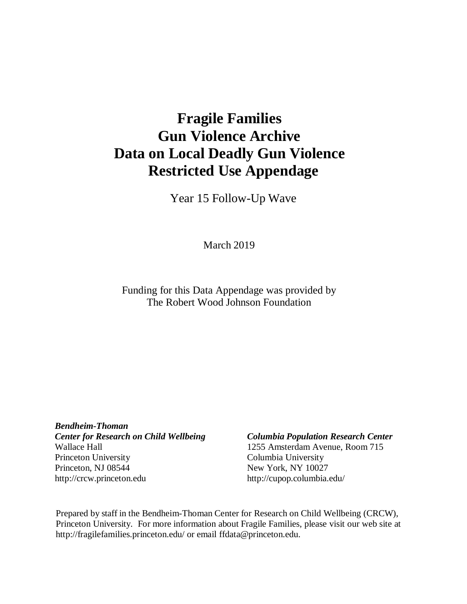# **Fragile Families Gun Violence Archive Data on Local Deadly Gun Violence Restricted Use Appendage**

Year 15 Follow-Up Wave

March 2019

Funding for this Data Appendage was provided by The Robert Wood Johnson Foundation

*Bendheim-Thoman Center for Research on Child Wellbeing Columbia Population Research Center* Wallace Hall 1255 Amsterdam Avenue, Room 715 Princeton University Columbia University Princeton, NJ 08544 New York, NY 10027 [http://crcw.princeton.edu](http://crcw.princeton.edu/) [http://cupop.columbia.edu/](http://crcw.princeton.edu/)

Prepared by staff in the Bendheim-Thoman Center for Research on Child Wellbeing (CRCW), Princeton University. For more information about Fragile Families, please visit our web site [at](http://fragilefamilies.princeton.edu/) <http://fragilefamilies.princeton.edu/> or email [ffdata@princeton.edu.](mailto:ffdata@princeton.edu)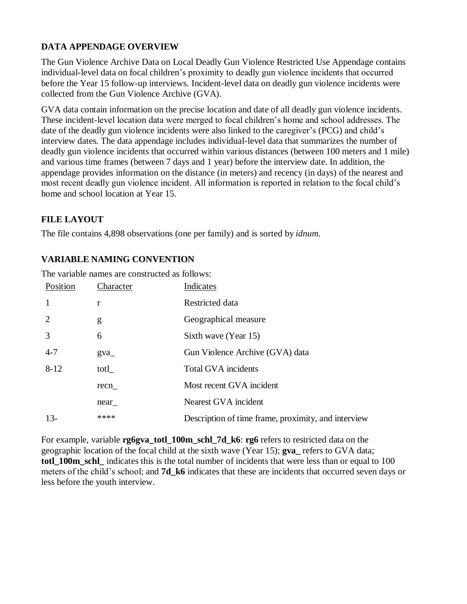# **DATA APPENDAGE OVERVIEW**

The Gun Violence Archive Data on Local Deadly Gun Violence Restricted Use Appendage contains individual-level data on focal children's proximity to deadly gun violence incidents that occurred before the Year 15 follow-up interviews. Incident-level data on deadly gun violence incidents were collected from the Gun Violence Archive (GVA).

GVA data contain information on the precise location and date of all deadly gun violence incidents. These incident-level location data were merged to focal children's home and school addresses. The date of the deadly gun violence incidents were also linked to the caregiver's (PCG) and child's interview dates. The data appendage includes individual-level data that summarizes the number of deadly gun violence incidents that occurred within various distances (between 100 meters and 1 mile) and various time frames (between 7 days and 1 year) before the interview date. In addition, the appendage provides information on the distance (in meters) and recency (in days) of the nearest and most recent deadly gun violence incident. All information is reported in relation to the focal child's home and school location at Year 15.

# **FILE LAYOUT**

The file contains 4,898 observations (one per family) and is sorted by *idnum.*

# **VARIABLE NAMING CONVENTION**

| Position       | Character | Indicates                                           |  |
|----------------|-----------|-----------------------------------------------------|--|
| $\overline{1}$ | r         | Restricted data                                     |  |
| 2              | g         | Geographical measure                                |  |
| 3              | 6         | Sixth wave (Year 15)                                |  |
| $4 - 7$        | gva       | Gun Violence Archive (GVA) data                     |  |
| $8 - 12$       | totl      | <b>Total GVA</b> incidents                          |  |
|                | recn      | Most recent GVA incident                            |  |
|                | near      | Nearest GVA incident                                |  |
| $13-$          | ****      | Description of time frame, proximity, and interview |  |

The variable names are constructed as follows:

For example, variable **rg6gva\_totl\_100m\_schl\_7d\_k6**: **rg6** refers to restricted data on the geographic location of the focal child at the sixth wave (Year 15); **gva\_** refers to GVA data; **totl\_100m\_schl\_** indicates this is the total number of incidents that were less than or equal to 100 meters of the child's school; and **7d\_k6** indicates that these are incidents that occurred seven days or less before the youth interview.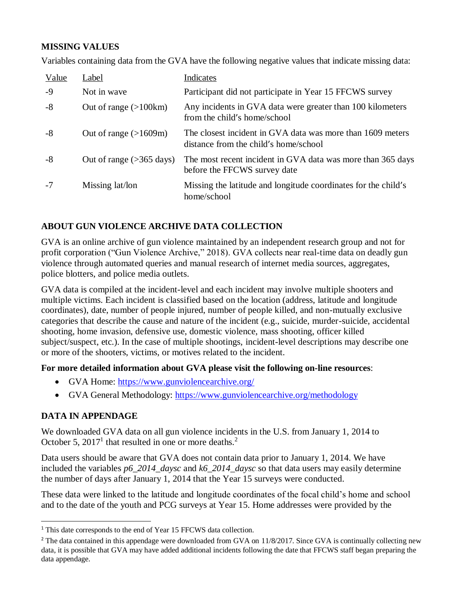# **MISSING VALUES**

Variables containing data from the GVA have the following negative values that indicate missing data:

| Value | Label                           | Indicates                                                                                           |
|-------|---------------------------------|-----------------------------------------------------------------------------------------------------|
| $-9$  | Not in wave                     | Participant did not participate in Year 15 FFCWS survey                                             |
| $-8$  | Out of range $(>100 \text{km})$ | Any incidents in GVA data were greater than 100 kilometers<br>from the child's home/school          |
| $-8$  | Out of range $(>1609m)$         | The closest incident in GVA data was more than 1609 meters<br>distance from the child's home/school |
| $-8$  | Out of range $($ >365 days)     | The most recent incident in GVA data was more than 365 days<br>before the FFCWS survey date         |
| $-7$  | Missing lat/lon                 | Missing the latitude and longitude coordinates for the child's<br>home/school                       |

# **ABOUT GUN VIOLENCE ARCHIVE DATA COLLECTION**

GVA is an online archive of gun violence maintained by an independent research group and not for profit corporation ("Gun Violence Archive," 2018). GVA collects near real-time data on deadly gun violence through automated queries and manual research of internet media sources, aggregates, police blotters, and police media outlets.

GVA data is compiled at the incident-level and each incident may involve multiple shooters and multiple victims. Each incident is classified based on the location (address, latitude and longitude coordinates), date, number of people injured, number of people killed, and non-mutually exclusive categories that describe the cause and nature of the incident (e.g., suicide, murder-suicide, accidental shooting, home invasion, defensive use, domestic violence, mass shooting, officer killed subject/suspect, etc.). In the case of multiple shootings, incident-level descriptions may describe one or more of the shooters, victims, or motives related to the incident.

**For more detailed information about GVA please visit the following on-line resources**:

- GVA Home:<https://www.gunviolencearchive.org/>
- GVA General Methodology:<https://www.gunviolencearchive.org/methodology>

# **DATA IN APPENDAGE**

 $\overline{a}$ 

We downloaded GVA data on all gun violence incidents in the U.S. from January 1, 2014 to October 5, 2017<sup>1</sup> that resulted in one or more deaths.<sup>2</sup>

Data users should be aware that GVA does not contain data prior to January 1, 2014. We have included the variables *p6\_2014\_daysc* and *k6\_2014\_daysc* so that data users may easily determine the number of days after January 1, 2014 that the Year 15 surveys were conducted.

These data were linked to the latitude and longitude coordinates of the focal child's home and school and to the date of the youth and PCG surveys at Year 15. Home addresses were provided by the

<sup>&</sup>lt;sup>1</sup> This date corresponds to the end of Year 15 FFCWS data collection.

<sup>&</sup>lt;sup>2</sup> The data contained in this appendage were downloaded from GVA on 11/8/2017. Since GVA is continually collecting new data, it is possible that GVA may have added additional incidents following the date that FFCWS staff began preparing the data appendage.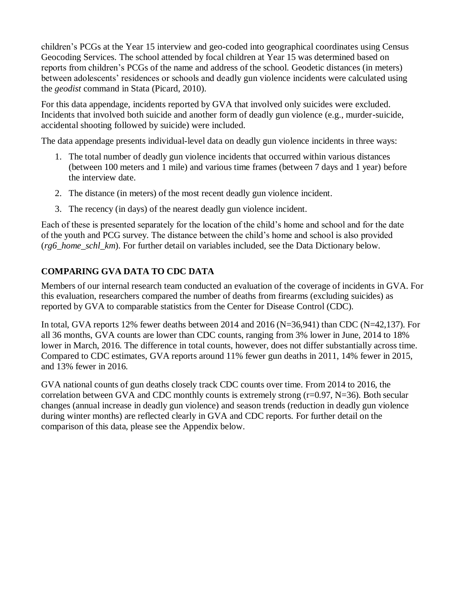children's PCGs at the Year 15 interview and geo-coded into geographical coordinates using Census Geocoding Services. The school attended by focal children at Year 15 was determined based on reports from children's PCGs of the name and address of the school. Geodetic distances (in meters) between adolescents' residences or schools and deadly gun violence incidents were calculated using the *geodist* command in Stata (Picard, 2010).

For this data appendage, incidents reported by GVA that involved only suicides were excluded. Incidents that involved both suicide and another form of deadly gun violence (e.g., murder-suicide, accidental shooting followed by suicide) were included.

The data appendage presents individual-level data on deadly gun violence incidents in three ways:

- 1. The total number of deadly gun violence incidents that occurred within various distances (between 100 meters and 1 mile) and various time frames (between 7 days and 1 year) before the interview date.
- 2. The distance (in meters) of the most recent deadly gun violence incident.
- 3. The recency (in days) of the nearest deadly gun violence incident.

Each of these is presented separately for the location of the child's home and school and for the date of the youth and PCG survey. The distance between the child's home and school is also provided (*rg6\_home\_schl\_km*). For further detail on variables included, see the Data Dictionary below.

# **COMPARING GVA DATA TO CDC DATA**

Members of our internal research team conducted an evaluation of the coverage of incidents in GVA. For this evaluation, researchers compared the number of deaths from firearms (excluding suicides) as reported by GVA to comparable statistics from the Center for Disease Control (CDC).

In total, GVA reports 12% fewer deaths between 2014 and 2016 (N=36,941) than CDC (N=42,137). For all 36 months, GVA counts are lower than CDC counts, ranging from 3% lower in June, 2014 to 18% lower in March, 2016. The difference in total counts, however, does not differ substantially across time. Compared to CDC estimates, GVA reports around 11% fewer gun deaths in 2011, 14% fewer in 2015, and 13% fewer in 2016.

GVA national counts of gun deaths closely track CDC counts over time. From 2014 to 2016, the correlation between GVA and CDC monthly counts is extremely strong (r=0.97, N=36). Both secular changes (annual increase in deadly gun violence) and season trends (reduction in deadly gun violence during winter months) are reflected clearly in GVA and CDC reports. For further detail on the comparison of this data, please see the Appendix below.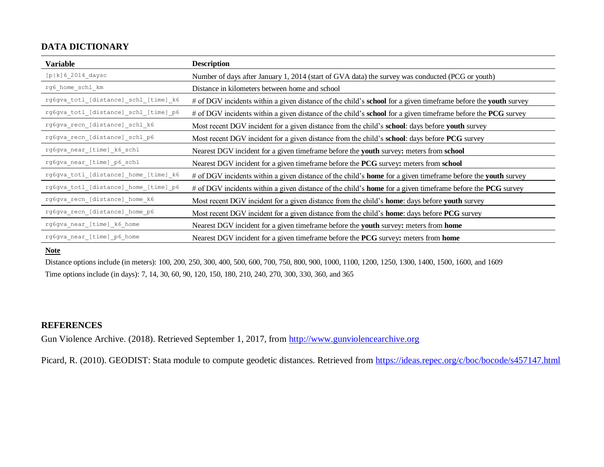# **DATA DICTIONARY**

| <b>Variable</b>                       | <b>Description</b>                                                                                                           |
|---------------------------------------|------------------------------------------------------------------------------------------------------------------------------|
| $[p k]$ 6 2014 daysc                  | Number of days after January 1, 2014 (start of GVA data) the survey was conducted (PCG or youth)                             |
| $rg6\_home\_schl\_km$                 | Distance in kilometers between home and school                                                                               |
| rg6gva totl [distance] schl [time] k6 | # of DGV incidents within a given distance of the child's <b>school</b> for a given timeframe before the <b>youth</b> survey |
| rg6gva_totl_[distance]_schl_[time]_p6 | # of DGV incidents within a given distance of the child's <b>school</b> for a given timeframe before the <b>PCG</b> survey   |
| rg6gva recn [distance] schl k6        | Most recent DGV incident for a given distance from the child's <b>school</b> : days before <b>youth</b> survey               |
| rg6gva_recn_[distance]_schl_p6        | Most recent DGV incident for a given distance from the child's <b>school</b> : days before <b>PCG</b> survey                 |
| rg6gva near [time] k6 schl            | Nearest DGV incident for a given timeframe before the youth survey: meters from school                                       |
| rg6gva_near_[time]_p6_schl            | Nearest DGV incident for a given timeframe before the PCG survey: meters from school                                         |
| rg6gva totl [distance] home [time] k6 | # of DGV incidents within a given distance of the child's <b>home</b> for a given timeframe before the <b>youth</b> survey   |
| rg6gva_totl_[distance]_home_[time]_p6 | # of DGV incidents within a given distance of the child's <b>home</b> for a given timeframe before the <b>PCG</b> survey     |
| rg6gva recn [distance] home k6        | Most recent DGV incident for a given distance from the child's <b>home</b> : days before youth survey                        |
| rg6gva recn [distance] home p6        | Most recent DGV incident for a given distance from the child's <b>home</b> : days before <b>PCG</b> survey                   |
| rg6gva near [time] k6 home            | Nearest DGV incident for a given timeframe before the youth survey: meters from home                                         |
| rg6gva near [time] p6 home            | Nearest DGV incident for a given time frame before the PCG survey: meters from home                                          |

#### **Note**

Distance options include (in meters): 100, 200, 250, 300, 400, 500, 600, 700, 750, 800, 900, 1000, 1100, 1200, 1250, 1300, 1400, 1500, 1600, and 1609 Time options include (in days): 7, 14, 30, 60, 90, 120, 150, 180, 210, 240, 270, 300, 330, 360, and 365

# **REFERENCES**

Gun Violence Archive. (2018). Retrieved September 1, 2017, from [http://www.gunviolencearchive.org](http://www.gunviolencearchive.org/)

Picard, R. (2010). GEODIST: Stata module to compute geodetic distances. Retrieved from<https://ideas.repec.org/c/boc/bocode/s457147.html>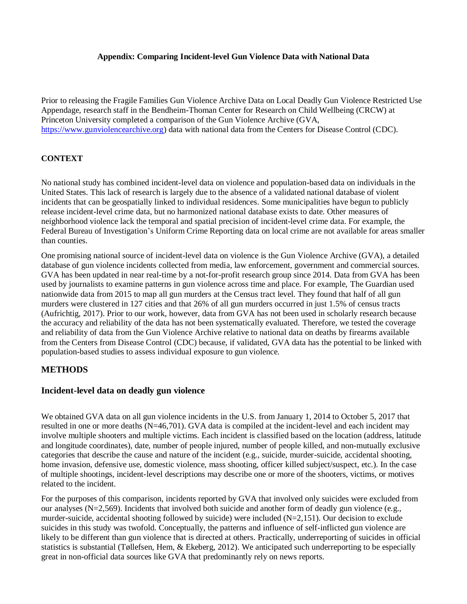#### **Appendix: Comparing Incident-level Gun Violence Data with National Data**

Prior to releasing the Fragile Families Gun Violence Archive Data on Local Deadly Gun Violence Restricted Use Appendage, research staff in the Bendheim-Thoman Center for Research on Child Wellbeing (CRCW) at Princeton University completed a comparison of the Gun Violence Archive (GVA, [https://www.gunviolencearchive.org\)](https://www.gunviolencearchive.org/) data with national data from the Centers for Disease Control (CDC).

### **CONTEXT**

No national study has combined incident-level data on violence and population-based data on individuals in the United States. This lack of research is largely due to the absence of a validated national database of violent incidents that can be geospatially linked to individual residences. Some municipalities have begun to publicly release incident-level crime data, but no harmonized national database exists to date. Other measures of neighborhood violence lack the temporal and spatial precision of incident-level crime data. For example, the Federal Bureau of Investigation's Uniform Crime Reporting data on local crime are not available for areas smaller than counties.

One promising national source of incident-level data on violence is the Gun Violence Archive (GVA), a detailed database of gun violence incidents collected from media, law enforcement, government and commercial sources. GVA has been updated in near real-time by a not-for-profit research group since 2014. Data from GVA has been used by journalists to examine patterns in gun violence across time and place. For example, The Guardian used nationwide data from 2015 to map all gun murders at the Census tract level. They found that half of all gun murders were clustered in 127 cities and that 26% of all gun murders occurred in just 1.5% of census tracts (Aufrichtig, 2017). Prior to our work, however, data from GVA has not been used in scholarly research because the accuracy and reliability of the data has not been systematically evaluated. Therefore, we tested the coverage and reliability of data from the Gun Violence Archive relative to national data on deaths by firearms available from the Centers from Disease Control (CDC) because, if validated, GVA data has the potential to be linked with population-based studies to assess individual exposure to gun violence.

### **METHODS**

#### **Incident-level data on deadly gun violence**

We obtained GVA data on all gun violence incidents in the U.S. from January 1, 2014 to October 5, 2017 that resulted in one or more deaths (N=46,701). GVA data is compiled at the incident-level and each incident may involve multiple shooters and multiple victims. Each incident is classified based on the location (address, latitude and longitude coordinates), date, number of people injured, number of people killed, and non-mutually exclusive categories that describe the cause and nature of the incident (e.g., suicide, murder-suicide, accidental shooting, home invasion, defensive use, domestic violence, mass shooting, officer killed subject/suspect, etc.). In the case of multiple shootings, incident-level descriptions may describe one or more of the shooters, victims, or motives related to the incident.

For the purposes of this comparison, incidents reported by GVA that involved only suicides were excluded from our analyses (N=2,569). Incidents that involved both suicide and another form of deadly gun violence (e.g., murder-suicide, accidental shooting followed by suicide) were included (N=2,151). Our decision to exclude suicides in this study was twofold. Conceptually, the patterns and influence of self-inflicted gun violence are likely to be different than gun violence that is directed at others. Practically, underreporting of suicides in official statistics is substantial (Tøllefsen, Hem, & Ekeberg, 2012). We anticipated such underreporting to be especially great in non-official data sources like GVA that predominantly rely on news reports.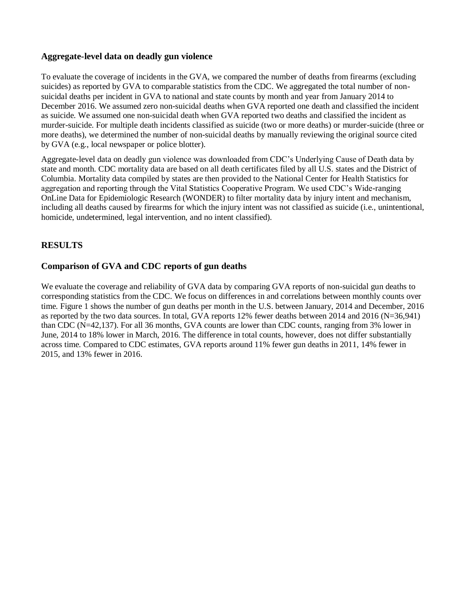### **Aggregate-level data on deadly gun violence**

To evaluate the coverage of incidents in the GVA, we compared the number of deaths from firearms (excluding suicides) as reported by GVA to comparable statistics from the CDC. We aggregated the total number of nonsuicidal deaths per incident in GVA to national and state counts by month and year from January 2014 to December 2016. We assumed zero non-suicidal deaths when GVA reported one death and classified the incident as suicide. We assumed one non-suicidal death when GVA reported two deaths and classified the incident as murder-suicide. For multiple death incidents classified as suicide (two or more deaths) or murder-suicide (three or more deaths), we determined the number of non-suicidal deaths by manually reviewing the original source cited by GVA (e.g., local newspaper or police blotter).

Aggregate-level data on deadly gun violence was downloaded from CDC's Underlying Cause of Death data by state and month. CDC mortality data are based on all death certificates filed by all U.S. states and the District of Columbia. Mortality data compiled by states are then provided to the National Center for Health Statistics for aggregation and reporting through the Vital Statistics Cooperative Program. We used CDC's Wide-ranging OnLine Data for Epidemiologic Research (WONDER) to filter mortality data by injury intent and mechanism, including all deaths caused by firearms for which the injury intent was not classified as suicide (i.e., unintentional, homicide, undetermined, legal intervention, and no intent classified).

## **RESULTS**

### **Comparison of GVA and CDC reports of gun deaths**

We evaluate the coverage and reliability of GVA data by comparing GVA reports of non-suicidal gun deaths to corresponding statistics from the CDC. We focus on differences in and correlations between monthly counts over time. Figure 1 shows the number of gun deaths per month in the U.S. between January, 2014 and December, 2016 as reported by the two data sources. In total, GVA reports 12% fewer deaths between 2014 and 2016 (N=36,941) than CDC (N=42,137). For all 36 months, GVA counts are lower than CDC counts, ranging from 3% lower in June, 2014 to 18% lower in March, 2016. The difference in total counts, however, does not differ substantially across time. Compared to CDC estimates, GVA reports around 11% fewer gun deaths in 2011, 14% fewer in 2015, and 13% fewer in 2016.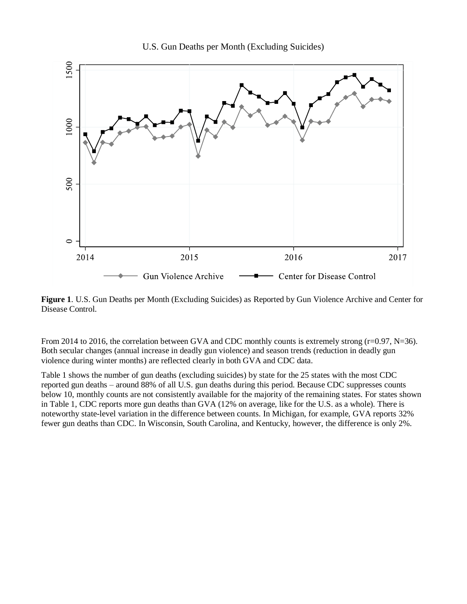

U.S. Gun Deaths per Month (Excluding Suicides)

**Figure 1**. U.S. Gun Deaths per Month (Excluding Suicides) as Reported by Gun Violence Archive and Center for Disease Control.

From 2014 to 2016, the correlation between GVA and CDC monthly counts is extremely strong ( $r=0.97$ , N=36). Both secular changes (annual increase in deadly gun violence) and season trends (reduction in deadly gun violence during winter months) are reflected clearly in both GVA and CDC data.

Table 1 shows the number of gun deaths (excluding suicides) by state for the 25 states with the most CDC reported gun deaths – around 88% of all U.S. gun deaths during this period. Because CDC suppresses counts below 10, monthly counts are not consistently available for the majority of the remaining states. For states shown in Table 1, CDC reports more gun deaths than GVA (12% on average, like for the U.S. as a whole). There is noteworthy state-level variation in the difference between counts. In Michigan, for example, GVA reports 32% fewer gun deaths than CDC. In Wisconsin, South Carolina, and Kentucky, however, the difference is only 2%.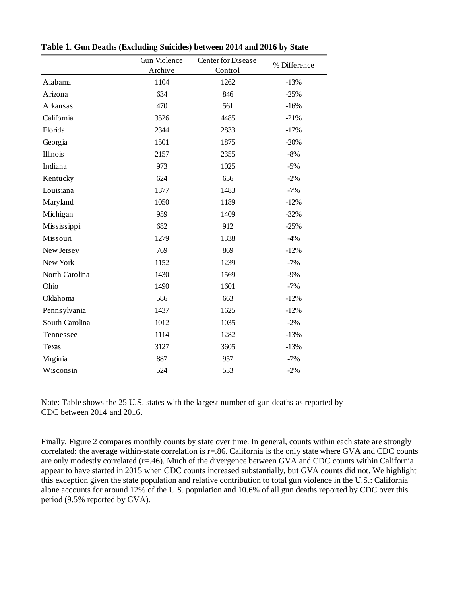|                | Gun Violence | <b>Center for Disease</b> | % Difference |
|----------------|--------------|---------------------------|--------------|
|                | Archive      | Control                   |              |
| Alabama        | 1104         | 1262                      | $-13%$       |
| Arizona        | 634          | 846                       | $-25%$       |
| Arkansas       | 470          | 561                       | $-16%$       |
| California     | 3526         | 4485                      | $-21%$       |
| Florida        | 2344         | 2833                      | $-17%$       |
| Georgia        | 1501         | 1875                      | $-20%$       |
| Illinois       | 2157         | 2355                      | $-8%$        |
| Indiana        | 973          | 1025                      | $-5%$        |
| Kentucky       | 624          | 636                       | $-2%$        |
| Louisiana      | 1377         | 1483                      | $-7%$        |
| Maryland       | 1050         | 1189                      | $-12%$       |
| Michigan       | 959          | 1409                      | $-32%$       |
| Mississippi    | 682          | 912                       | $-25%$       |
| Missouri       | 1279         | 1338                      | $-4%$        |
| New Jersey     | 769          | 869                       | $-12%$       |
| New York       | 1152         | 1239                      | $-7%$        |
| North Carolina | 1430         | 1569                      | $-9%$        |
| Ohio           | 1490         | 1601                      | $-7%$        |
| Oklahoma       | 586          | 663                       | $-12%$       |
| Pennsylvania   | 1437         | 1625                      | $-12%$       |
| South Carolina | 1012         | 1035                      | $-2\%$       |
| Tennessee      | 1114         | 1282                      | $-13%$       |
| Texas          | 3127         | 3605                      | $-13%$       |
| Virginia       | 887          | 957                       | $-7%$        |
| Wisconsin      | 524          | 533                       | $-2%$        |
|                |              |                           |              |

**Table 1**. **Gun Deaths (Excluding Suicides) between 2014 and 2016 by State**

Note: Table shows the 25 U.S. states with the largest number of gun deaths as reported by CDC between 2014 and 2016.

Finally, Figure 2 compares monthly counts by state over time. In general, counts within each state are strongly correlated: the average within-state correlation is r=.86. California is the only state where GVA and CDC counts are only modestly correlated (r=.46). Much of the divergence between GVA and CDC counts within California appear to have started in 2015 when CDC counts increased substantially, but GVA counts did not. We highlight this exception given the state population and relative contribution to total gun violence in the U.S.: California alone accounts for around 12% of the U.S. population and 10.6% of all gun deaths reported by CDC over this period (9.5% reported by GVA).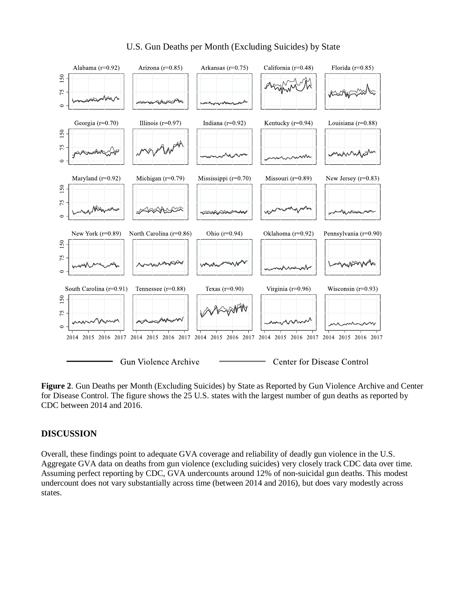

# U.S. Gun Deaths per Month (Excluding Suicides) by State

**Figure 2**. Gun Deaths per Month (Excluding Suicides) by State as Reported by Gun Violence Archive and Center for Disease Control. The figure shows the 25 U.S. states with the largest number of gun deaths as reported by CDC between 2014 and 2016.

### **DISCUSSION**

Overall, these findings point to adequate GVA coverage and reliability of deadly gun violence in the U.S. Aggregate GVA data on deaths from gun violence (excluding suicides) very closely track CDC data over time. Assuming perfect reporting by CDC, GVA undercounts around 12% of non-suicidal gun deaths. This modest undercount does not vary substantially across time (between 2014 and 2016), but does vary modestly across states.